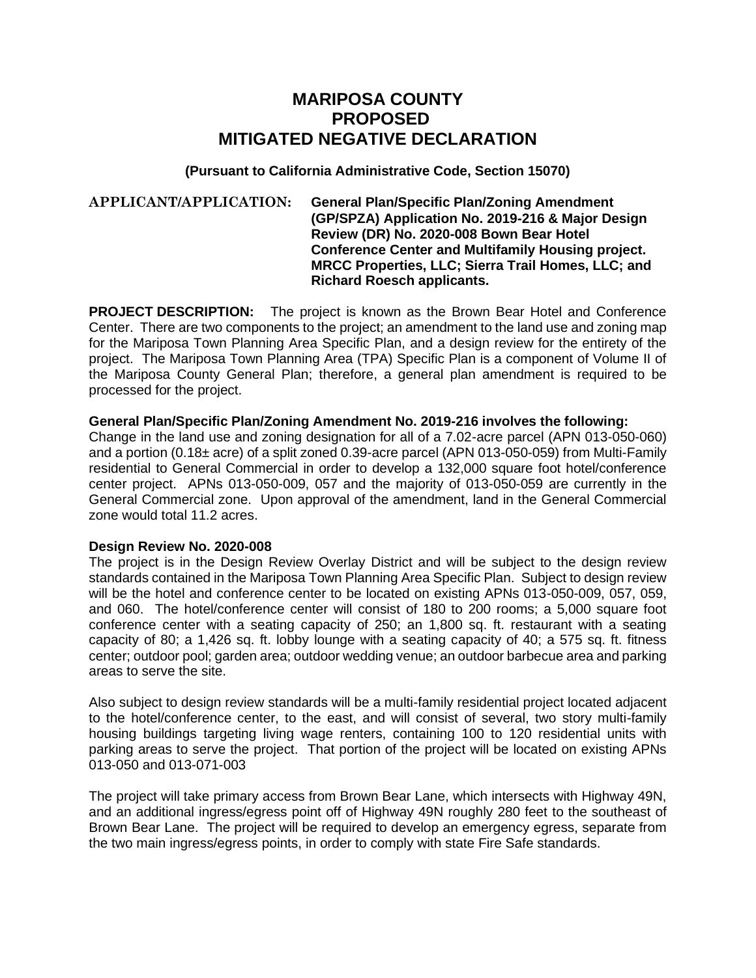# **MARIPOSA COUNTY PROPOSED MITIGATED NEGATIVE DECLARATION**

## **(Pursuant to California Administrative Code, Section 15070)**

#### **APPLICANT/APPLICATION: General Plan/Specific Plan/Zoning Amendment (GP/SPZA) Application No. 2019-216 & Major Design Review (DR) No. 2020-008 Bown Bear Hotel Conference Center and Multifamily Housing project. MRCC Properties, LLC; Sierra Trail Homes, LLC; and Richard Roesch applicants.**

**PROJECT DESCRIPTION:** The project is known as the Brown Bear Hotel and Conference Center. There are two components to the project; an amendment to the land use and zoning map for the Mariposa Town Planning Area Specific Plan, and a design review for the entirety of the project. The Mariposa Town Planning Area (TPA) Specific Plan is a component of Volume II of the Mariposa County General Plan; therefore, a general plan amendment is required to be processed for the project.

#### **General Plan/Specific Plan/Zoning Amendment No. 2019-216 involves the following:**

Change in the land use and zoning designation for all of a 7.02-acre parcel (APN 013-050-060) and a portion (0.18± acre) of a split zoned 0.39-acre parcel (APN 013-050-059) from Multi-Family residential to General Commercial in order to develop a 132,000 square foot hotel/conference center project. APNs 013-050-009, 057 and the majority of 013-050-059 are currently in the General Commercial zone. Upon approval of the amendment, land in the General Commercial zone would total 11.2 acres.

#### **Design Review No. 2020-008**

The project is in the Design Review Overlay District and will be subject to the design review standards contained in the Mariposa Town Planning Area Specific Plan. Subject to design review will be the hotel and conference center to be located on existing APNs 013-050-009, 057, 059, and 060. The hotel/conference center will consist of 180 to 200 rooms; a 5,000 square foot conference center with a seating capacity of 250; an 1,800 sq. ft. restaurant with a seating capacity of 80; a 1,426 sq. ft. lobby lounge with a seating capacity of 40; a 575 sq. ft. fitness center; outdoor pool; garden area; outdoor wedding venue; an outdoor barbecue area and parking areas to serve the site.

Also subject to design review standards will be a multi-family residential project located adjacent to the hotel/conference center, to the east, and will consist of several, two story multi-family housing buildings targeting living wage renters, containing 100 to 120 residential units with parking areas to serve the project. That portion of the project will be located on existing APNs 013-050 and 013-071-003

The project will take primary access from Brown Bear Lane, which intersects with Highway 49N, and an additional ingress/egress point off of Highway 49N roughly 280 feet to the southeast of Brown Bear Lane. The project will be required to develop an emergency egress, separate from the two main ingress/egress points, in order to comply with state Fire Safe standards.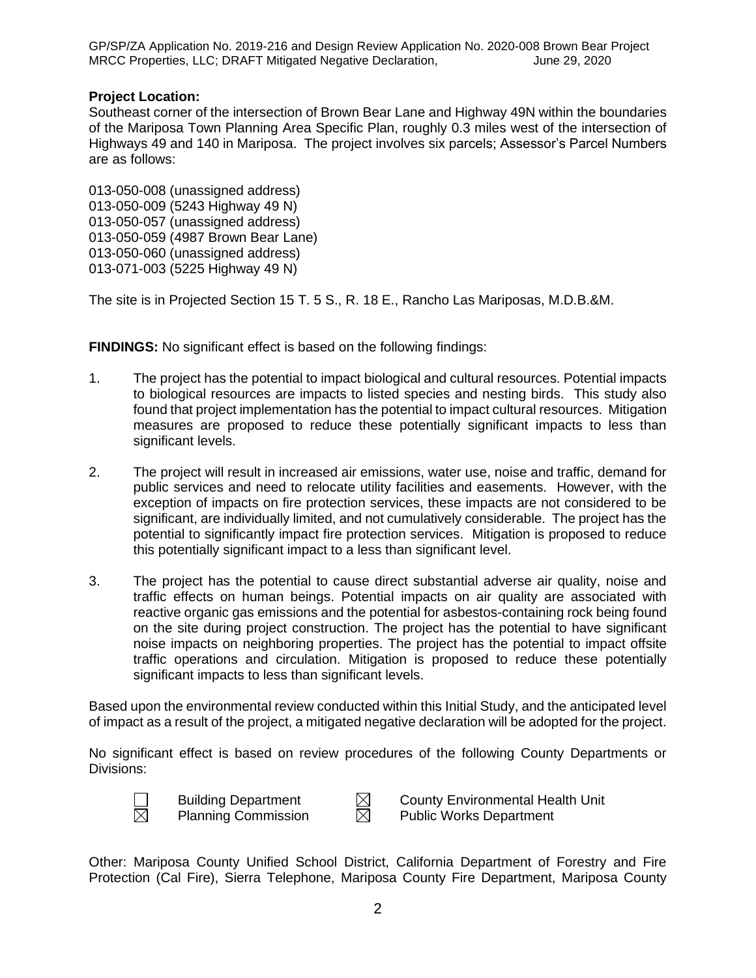GP/SP/ZA Application No. 2019-216 and Design Review Application No. 2020-008 Brown Bear Project MRCC Properties, LLC; DRAFT Mitigated Negative Declaration, June 29, 2020

## **Project Location:**

Southeast corner of the intersection of Brown Bear Lane and Highway 49N within the boundaries of the Mariposa Town Planning Area Specific Plan, roughly 0.3 miles west of the intersection of Highways 49 and 140 in Mariposa. The project involves six parcels; Assessor's Parcel Numbers are as follows:

013-050-008 (unassigned address) 013-050-009 (5243 Highway 49 N) 013-050-057 (unassigned address) 013-050-059 (4987 Brown Bear Lane) 013-050-060 (unassigned address) 013-071-003 (5225 Highway 49 N)

The site is in Projected Section 15 T. 5 S., R. 18 E., Rancho Las Mariposas, M.D.B.&M.

**FINDINGS:** No significant effect is based on the following findings:

- 1. The project has the potential to impact biological and cultural resources. Potential impacts to biological resources are impacts to listed species and nesting birds. This study also found that project implementation has the potential to impact cultural resources. Mitigation measures are proposed to reduce these potentially significant impacts to less than significant levels.
- 2. The project will result in increased air emissions, water use, noise and traffic, demand for public services and need to relocate utility facilities and easements. However, with the exception of impacts on fire protection services, these impacts are not considered to be significant, are individually limited, and not cumulatively considerable. The project has the potential to significantly impact fire protection services. Mitigation is proposed to reduce this potentially significant impact to a less than significant level.
- 3. The project has the potential to cause direct substantial adverse air quality, noise and traffic effects on human beings. Potential impacts on air quality are associated with reactive organic gas emissions and the potential for asbestos-containing rock being found on the site during project construction. The project has the potential to have significant noise impacts on neighboring properties. The project has the potential to impact offsite traffic operations and circulation. Mitigation is proposed to reduce these potentially significant impacts to less than significant levels.

Based upon the environmental review conducted within this Initial Study, and the anticipated level of impact as a result of the project, a mitigated negative declaration will be adopted for the project.

No significant effect is based on review procedures of the following County Departments or Divisions:



Building Department  $\boxtimes$  County Environmental Health Unit Planning Commission  $\boxtimes$  Public Works Department Planning Commission  $\boxtimes$  Public Works Department

Other: Mariposa County Unified School District, California Department of Forestry and Fire Protection (Cal Fire), Sierra Telephone, Mariposa County Fire Department, Mariposa County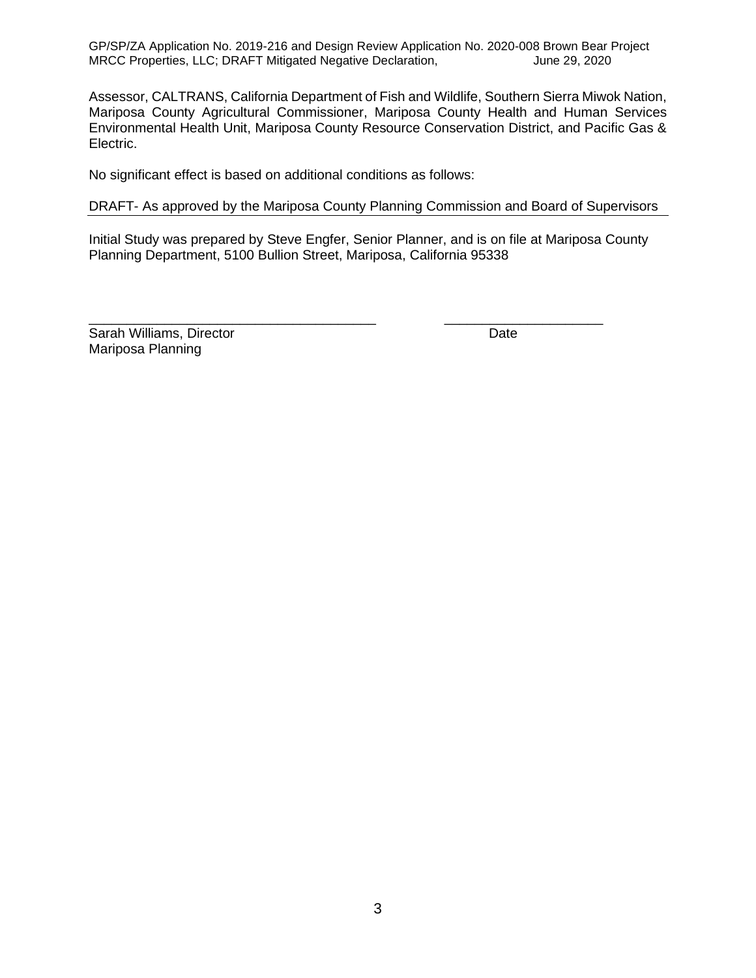GP/SP/ZA Application No. 2019-216 and Design Review Application No. 2020-008 Brown Bear Project MRCC Properties, LLC; DRAFT Mitigated Negative Declaration, June 29, 2020

Assessor, CALTRANS, California Department of Fish and Wildlife, Southern Sierra Miwok Nation, Mariposa County Agricultural Commissioner, Mariposa County Health and Human Services Environmental Health Unit, Mariposa County Resource Conservation District, and Pacific Gas & Electric.

No significant effect is based on additional conditions as follows:

#### DRAFT- As approved by the Mariposa County Planning Commission and Board of Supervisors

Initial Study was prepared by Steve Engfer, Senior Planner, and is on file at Mariposa County Planning Department, 5100 Bullion Street, Mariposa, California 95338

\_\_\_\_\_\_\_\_\_\_\_\_\_\_\_\_\_\_\_\_\_\_\_\_\_\_\_\_\_\_\_\_\_\_\_\_\_\_ \_\_\_\_\_\_\_\_\_\_\_\_\_\_\_\_\_\_\_\_\_

Sarah Williams, Director **Date** Mariposa Planning